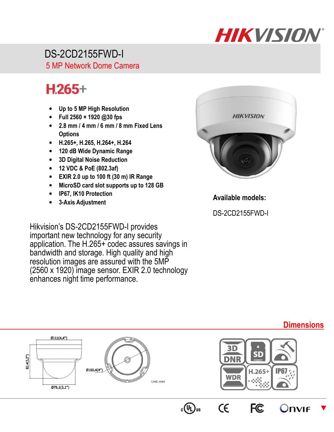

 DS-2CD2155FWD-I 5 MP Network Dome Camera

## $H.265+$

- **Up to 5 MP High Resolution**
- **Full 2560 × 1920 @30 fps**
- **2.8 mm / 4 mm / 6 mm / 8 mm Fixed Lens Options**
- **H.265+, H.265, H.264+, H.264**
- **120 dB Wide Dynamic Range**
- **3D Digital Noise Reduction**
- **12 VDC & PoE (802.3af)**
- **EXIR 2.0 up to 100 ft (30 m) IR Range**
- **MicroSD card slot supports up to 128 GB**
- **IP67, IK10 Protection**
- **3-Axis Adjustment**

Hikvision's DS-2CD2155FWD-I provides important new technology for any security application. The H.265+ codec assures savings in bandwidth and storage. High quality and high resolution images are assured with the 5MP (2560 x 1920) image sensor. EXIR 2.0 technology enhances night time performance.



**Available models:** 

DS-2CD2155FWD-I



## **Dimensions**